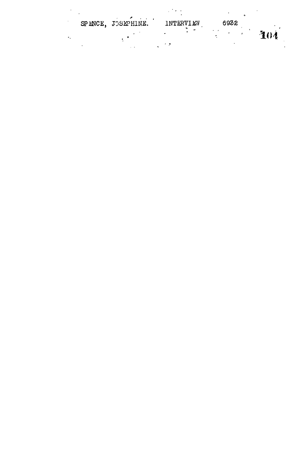|  | SP MNCE, JOSEPHINE. | INTERVIEW       | 6932 |     |
|--|---------------------|-----------------|------|-----|
|  |                     | $\bullet$<br>۰. |      | 304 |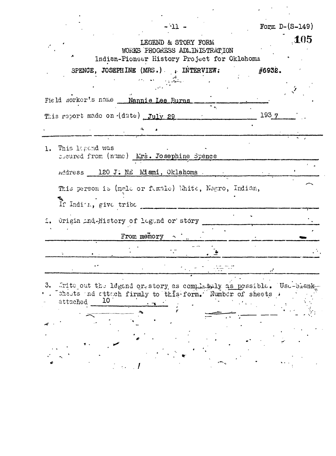| $-11 -$                                                                                                                                               | Form $D-(S-149)$ |
|-------------------------------------------------------------------------------------------------------------------------------------------------------|------------------|
| LEGEND & STORY FORM<br>WORKS PROGRESS ADMINISTRATION<br>Indian-Pioneer History Project for Oklahoma                                                   | .105             |
| SPENCE, JOSEPHINE (MRS.) , INTERVIEW:                                                                                                                 | #6932.           |
| Field norker's name __ Nannie Lee Burns                                                                                                               |                  |
| This report made on (date) July 29                                                                                                                    | 1937             |
| This legend was<br>$l_{\cdot}$<br>soured from (nume) Mrs. Josephine Spence                                                                            |                  |
| Address 120 J. NE Miami, Oklahoma                                                                                                                     |                  |
| This person is (male or funale) White, Negro, Indian,<br>If Indita, give tribe                                                                        |                  |
| Origin ind Mistory of legand or story<br>From memory $\sim$ .                                                                                         |                  |
| No. of the Con-                                                                                                                                       |                  |
|                                                                                                                                                       |                  |
| 3.<br>frite out the legend or story as completely as possible. Usu-bienk<br>sheets and attach firmly to this form. Number of sheets<br>10<br>attached |                  |
|                                                                                                                                                       |                  |

 $\cdot$ 

 $\overline{a}$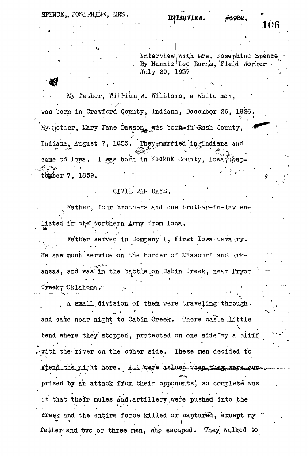SPENCE, JOSEPHINE, MRS.

Interview| with Mrs. Josephine Spence By Nannie Lee Burn's, Field Worker . July 29, 1937

My father, William W. Williams, a white man, was born in Crawford County, Indiana, December 26, 1826. My-mother, Mary Jane Dawson, was bork=in Qush County, Indiana, August 7, 1833. Theyemarried in Indiana and came to Iowa. I was born in Keokuk County, Ioway Sepi<del>ğ</del> (ber 7, 1859. i veliko eta ezkonomiak

CIVIL WAR DAYS.

Father, four brothers and one brother-in-law enlisted in the Northern Army from Iowa.

Father served in Company I, First Iowa Cavalry. He saw much service on the border of Missouri and Arkansas, and was in the battle on Cabin Jreek, near Pryor Creek, Oklahoma.

- - ----- V - -- - ' • • -•-•.,- - — A small division of them were traveling through. . Also include the matrix of them were traveling- through the matrix of them were traveling- through. The set and came near night to Cabin Creek. There was a little bend where they're they're they're they're they're they're they're they're they're they're they're they're the<br>'they're they're they're they're they're they're they're they're they're they're they're they're they're they'r  $\mathcal{P}_\mathbf{r}$  is the contribution on the other side. The other side of the other side. These men decided to the other side.  $U \in \mathbb{R}^3$  , we have  $U \in \mathbb{R}^3$ prised by an attack from their opponents', so complete was it that their mules and.artillery were pushed into the  $\mathbf{r} = \begin{pmatrix} 1 & 0 & 0 \\ 0 & 0 & 0 \\ 0 & 0 & 0 \end{pmatrix}$ " creek and the endire force killed or captured, except my is the contract of the contract of the contract of the contract of the contract of the contract of the contract of the contract of the contract of the contract of the contract of the contract of the contract of the contra iather'and two or three men, who escaped. They walked to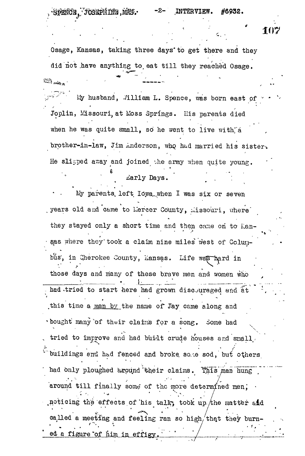$\mathbf{H} \mathbf{F}$  ,  $\mathbf{H} \mathbf{F}$  ,  $\mathbf{H} \mathbf{F}$  ,  $\mathbf{H} \mathbf{F}$  ,  $\mathbf{H} \mathbf{F}$  ,  $\mathbf{H} \mathbf{F}$  ,  $\mathbf{H} \mathbf{F}$  ,  $\mathbf{H} \mathbf{F}$  ,  $\mathbf{H} \mathbf{F}$  ,  $\mathbf{H} \mathbf{F}$  ,  $\mathbf{H} \mathbf{F}$  ,  $\mathbf{H} \mathbf{F}$  ,  $\mathbf{H} \mathbf{F}$  ,

يرون التينة

Osage, Kansas, taking three days to get there and they did not .have anything to,eat till they reached Osage,

 $\frac{1}{2}$  husband, ./illiam L. Spence, was born east of v Joplin, Missouri, at Moss Springs. His parents died when he was quite small, so he went to live with a brother-in-law, Jim Anderson, who had married his sister. He slipped away and joined the army when quite young. \*

## Larly Days.

My parents left lowa when I was six or seven years old and came to hercer County, hissouri, where they stayed only a short time and then came on to Hansas where they took a claim nine miles west of Colum-**• / ' • • - V** bus, in cherokee county, nansas. Life was hard in those days and many of these brave men and women who had .tried to start here had grown discouraged and  $\tilde{a}t$  $\mathbf{r}$  and  $\mathbf{r}$  is the set of  $\mathbf{r}$  $\frac{11}{11}$   $\frac{0}{3}$  one hane of  $\frac{1}{3}$  or  $\frac{1}{3}$ bought many of their claims for a song. Some had tried to improve and had built crude houses and small, buildings and had fenced and broke some sod, but others had only ploughed around their claims. This man hung around till finally some of the more determined men. noticing the effects of his talk, took up the matter and called a meeting and feeling ran so high/that they burned a figure of him in effigy

. The contract of the contract of the contract of  $\mathcal{L}_1$  ,  $\mathcal{L}_2$  ,  $\mathcal{L}_3$  ,  $\mathcal{L}_4$  ,  $\mathcal{L}_5$  ,  $\mathcal{L}_6$  ,  $\mathcal{L}_7$  ,  $\mathcal{L}_8$  ,  $\mathcal{L}_9$  ,  $\mathcal{L}_9$  ,  $\mathcal{L}_8$  ,  $\mathcal{L}_9$  ,  $\mathcal{L}_9$  ,  $\mathcal{L}_9$  ,  $\math$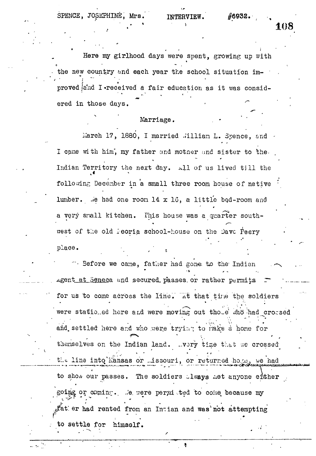SPENCE, JOSEPHINE, Mrs. INTERVIEW. #6932.

**'.'•.' \* > 10 8**

Here my girlhood days were spent, growing up with **i** the new country and each year the school situation improved and I-received a fair education as it was considered in those days.

### Marriage.

March 17, 1880, I married .'illiam L. Spence, and -I cane with him, my father and motner and sister to the-Indian Territory the next day. All of us lived till the following December in a small three room house of native  $\,$ m lumber. We had one room  $14 \times 10$ , a little bed-room and a very snall kitchen. This house was a quarter southwest of the old leoria school-house on the Dave Peery **\* t** place.

place. .  $\sim$  Before we came, father had gone to the Indian  $\mathbf{e}^{\mathbf{e}}$  and  $\mathbf{e}^{\mathbf{e}}$  and  $\mathbf{e}^{\mathbf{e}}$  indian ,  $\mathbf{e}^{\mathbf{e}}$  indian ,  $\mathbf{e}^{\mathbf{e}}$  indian ,  $\mathbf{e}^{\mathbf{e}}$  indian ,  $\mathbf{e}^{\mathbf{e}}$  indian ,  $\mathbf{e}^{\mathbf{e}}$  is the  $\mathbf{e}^{\mathbf{e}}$  indian ,  $\mathbf{e}^$ Agent at Seneca and secured, passes, or rather permits r~ for us to come across the line." ~7it that tine the soldiers were statio ed here and were moving out those who had crossed were stationed here stationed here and were moving out those  $\mathbb{R}^n$ and settled here and who were trying to rake a home for themselves on the Indian land. ...vory time tr.ht .ve crossed ti.c line into'iCansas or ..issouri, or returned ho.ne, v/e had **.T^frrm-ff plU^fc^^XyJ** to show our passes. The soldiers always met anyone either  $\mathcal{P}(\mathbf{r}) = \mathcal{P}(\mathbf{r})$  and the contract of  $\mathcal{P}(\mathbf{r})$  and  $\mathcal{P}(\mathbf{r}) = \mathcal{P}(\mathbf{r})$  and  $\mathcal{P}(\mathbf{r}) = \mathcal{P}(\mathbf{r})$  and  $\mathcal{P}(\mathbf{r}) = \mathcal{P}(\mathbf{r})$  and  $\mathcal{P}(\mathbf{r}) = \mathcal{P}(\mathbf{r})$  and  $\mathcal{P}(\mathbf{r}) = \mathcal{P}(\mathbf{r})$ going or coming. . .'e. were permitted to come because my  $A$ at er had rented from an Indian and was not attempting to settle for himself. .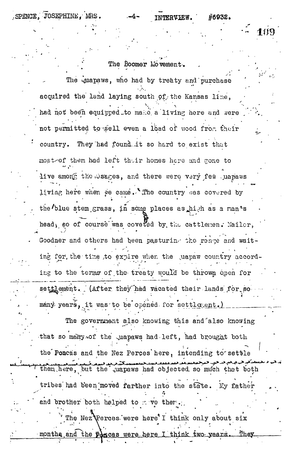SPENCE, JOSEPHINE, MRS.

#6932.

 $101$ 

The Boomer Movement. The quapaws, who had by treaty and purchase acquired the land laying south of the Kansas line. had not been equipped to make a living here and were not permitted to sell even a load of wood from their country. They had found it so hard to exist that most-of them had left their homes here and gone to live among the bages, and there were very few uapaws living here when we came. The country was covered by the blue stem grass, in some places as high as a man's head, so of course was covered by the cattlenen. Nailer, Goodner and others had been pasturing the range and waiting for the time to expire when the wapaw country according to the terms of the treaty would be thrown open for settlement. (After they had vacated their lands for so many years, it was to be opened for settlegent.) The government also knowing this and also knowing that so many of the quapaws had left, had brought both the Poncas and the Nez Perces here, intending to settle them here, but the juapaws had objected so much that both tribes had been moved farther into the state. My father and brother both helped to move them.

The Nez Perces were here' I think only about six months and the poncas were here I think two years.  $\_$  They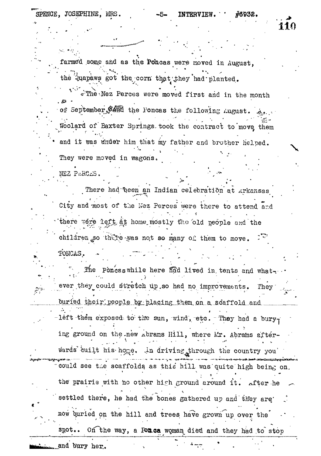NEZ PERCES.

110

farmed some and as the Poncas were moved in August,

the Quapaws got the corn that they had planted.

e'The Nez Perces were moved first and in the month of September, 24 the Poncas the following August. Woolard of Baxter Springs took the contract to move them and it was under him that my father and brother helped. They were moved in wagons.

There had been an Indian celebration at Arkansas City and most of the Nez Perces were there to attend and there were left at home mostly the old people and the children so there was not so many of them to move. PONCAS.

The Ponceswhile here figd lived in tents and whatever they could stretch up so had no improvements. They buried their people by placing them on a scaffold and left them exposed to the sun, wind, etc. They had a burying ground on the new abrams Hill, where Mr. Abrams afterwards built his hoge. In driving through the country you could see the scaffolds as this hill was quite high being on. the prairie with no other high ground around it. after he settled there, he had the bones gathered up and they are now buried on the hill and trees have grown up over the On the way, a Ponca woman died and they had to stop  ${\tt spot.}$  .

and bury her.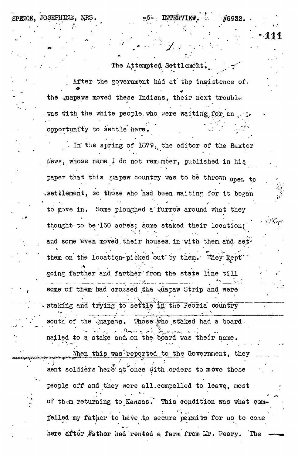The Attempted Settlement, After the government had at the insistence of. the quapaws moved these Indians, their next trouble was with the white people who were waiting for an opportunity to settle here.

• ' **J:t •.**

**' "#6938.**

**'••**

SPENCE, JOSEPHINE, MRS.  $-6-$  **INTERVIEW**.

In the spring of 1879, the editor of the Baxter News, whose name I do not remember, published in his paper that this wapaw country was to be thrown open to .settlement, so those who had been waiting for it began to move in. Some ploughed a furrow around what they » 4 • \* thought- to be "160 acres; some staked their location; and some even moved their houses in with them and set. , and some even- moved, their houses, in  $\mathcal{L}_\mathcal{A}$  , in  $\mathcal{L}_\mathcal{A}$  , in  $\mathcal{L}_\mathcal{A}$  , in  $\mathcal{L}_\mathcal{A}$ them on the location picked out by them. They kept them on  $\mathbf A$  them on the location-picked out  $\mathbf A$ going farther and farther and farther and farther the state line till state line till state line till state li some of them had crossed the wiapaw Strip and were staking and trying to settle in the Feoria country south of the *quapaws.* Those who staked had a board. nailed to a stake and on the board was their name. When this was reported to the Government, they sent soldiers here at once with orders to move these people off and they were all.compelled to.leave, most of them returning to Kansas. This condition was what compelled my father to have, to secure permits for us to come

t

here after .Father had rented a farm from  $Mr.$  Peery. The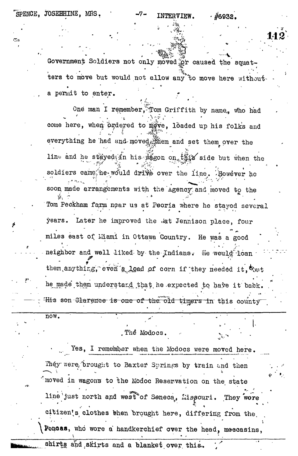**112**

**Covernment** Soldiers not only moved or caused the squatters to move but would not allow any to move here without-**• ^** a benure to enter.

One man I remember, Tom Griffith by name, who had **. ' - . ".. . • • >.<••£, -**  come here, when prdered to move, loaded up his folks and everything he had and moved them and set them over the line and he stayed, in his  $M_{\rm H}$  and  $\ln$ -in the but when the soldiers came he would drive over the line. However he soon made arrangements with the Agency and moved to the Tom Peckham farm near us at Peoria where he stayed several years. Later he improved the ./at Jennison place, four miles east of Miami in Ottawa Country. He was a good neighbor and well liked by the Indians. He would loan them anything, even a load of corn if they needed it,  $x_{0}$ he made them understand that he expected to have it back. His son Glarence is one of the old timers in this county

. The Modocs.

\_\_\_\_\_ . \_ \_\_ \_ . . \_\_\_ . .

**< • • » \* I -**

Yes, I remember when the Modocs were moved here. They were, brought to Baxter Springs by train and then ' moved in wagons to the Mbdoc Reservation on the state line just north and west of Seneca, Missouri. They wore citizen's clothes then brought here, differing from the Poncas, who wore a handkerchief over the head, meccasins, shirts and a blanket over this.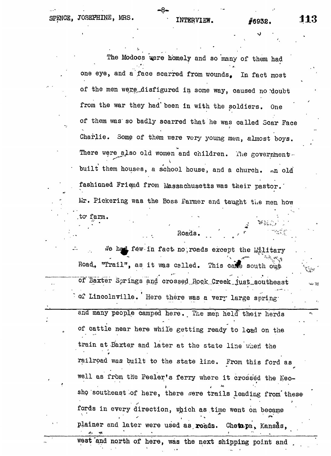:

 $r^* = \frac{1}{2}$ 

The Modocs were homely and so many of them had \* \* • • \* one eye, and a'face scarred from wounds. In fact most of the men were disfigured in some way, caused no doubt from the war they had' been in with the soldiers. One of them was" so badly scarred that"he was called Scar Face Charlie. Some of them were very young men, almost boys. There were also old women and children. The governmentbuilt them houses, a school house, and a church. An old fashinned Friend from Massachusetts was their pastor. Mr. Pickering was the Boss Farmer and taught the men how .to\* farm.  $\blacksquare$ 

 $i$ e had few in fact no, roads except the  $i$ ilitary Road, "Trail", as it was called. This calle south out of Baxter Springs and crossed Rock Creek just southeast  *o2* Lincolnville. Here there was a very large spring-

Roads.

and many people camped here. The men held their herds of cattle near here while getting ready to load on the train at Baxter and later at the state line when the railroad was built to the state line. From this ford as well as from the Peeler's ferry where it crossed the Neosho southeast of here, there were trails leading from these fords in every direction, which as time went on became plainer and later were used as roads. Chetapa, Kansas,

west'and north of here, was the next shipping point and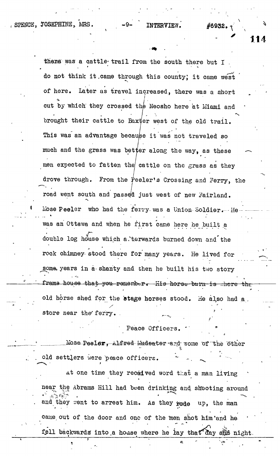thene was a cattle trail from the south there but I do not think it .came through this county; it came west of here. Later as travel increased, there was a short cut by which they crossed the Neosho here at Miami and cut by which they crossed they crossed they crossed they crossed they crossed they crossed the Neosho here at Mi brought their cattle to Baxter west of the old trail. brought the total their cattle to  $B$  and  $\mathcal{L}$  the old trail. This was an advantage because it was not traveled some traveled some traveled some traveled some traveled some<br>This was not traveled some traveled some traveled some traveled some traveled some traveled some traveled some much and the grass was better along the grass was better along the way, as the way, as the way, as the way, as men expected to fatten the grass as the grass as the grass as the grass as they grass as they grass as they grass as they grass as they grass as they grass as they grass as they grass as they grass as they grass as they g drove through through  $\int$  crossing and  $\int$ road went south and passe/d just west of new Ifairland. Mose Peeler who had the ferry-was a Union-Soldier. He was an Ottawa and when he first came here he built a double log house which a terwards burned down and the rock chimney stood there for many years. He lived for some years in a shanty and then he built his two story frama house that you remember. His horse burn is there the old horse shed for the stage horses stood. He also had a  $\mathcal{L}$  is the set of the set of the set of the set of the set of the set of the set of the set of the set of the set of the set of the set of the set of the set of the set of the set of the set of the set of the set of r

store near the ferry.

### Peace Officers.

Mose Peeler, Alfred Wadeater and some of the other old settlers were peace officers.

at one time they reced ved word that a man living near the Abrams Kill had been drinking and shooting around and they went to arrest him. As they rode up, the man came, out of the door and one of the men shot him and he fell backwards into a house where he lay that day and night.

**' 114**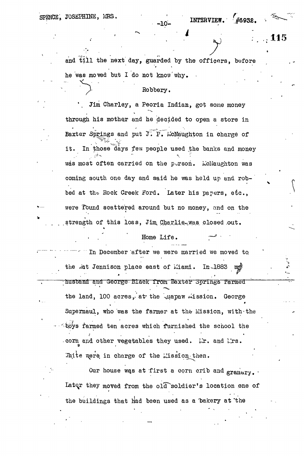SPENCE, JOSEPHINE, MRS. INTERVIEW.

**115**

and till the next day, guarded by the officers, before he was moved but I do not know why.

# Robbery.

Jim Charley, a Peoria Indian, got some money through his mother and he decided to open a store in Baxter Springs and put J. P. McNaughton in charge of  $\mathcal{P} = \mathcal{P} \mathcal{P} = \mathcal{P} \mathcal{P} = \mathcal{P} \mathcal{P} = \mathcal{P} \mathcal{P}$  $\mathbf{v} = \mathbf{v} \cdot \mathbf{v}$  for  $\mathbf{v} = \mathbf{v} \cdot \mathbf{v}$ it. it. In those days few people used the banks and money was most often carried on the person. McNaughton was coming south one day and said he was held up and robcoming south one day and said he was held up and robbed at the Rock Creek Ford. Later his papers, etc., bed at the Hock Creek Ford. Later his papers, etc.,  $\mathbf{L} = \mathbf{L} \mathbf{L} \mathbf{L}$ were found scattered around but no money, and on the were Tbund scattered around but no money, and on the scattered around but no money, and on the scattered around strength of this loss, Jim Charlie was closed out.

> Home Life. . . ' \* Home Life. 7^ ' '

.strength of this loss,  $\mathbf{A}$  is loss,  $\mathbf{A}$  is loss,  $\mathbf{A}$  is loss,  $\mathbf{A}$  is a closed , out.

In December after we were married we moved to ~ "'•" In December after we were married we moved to. the .at Jennison place east of Miami.  $In - 1883$  m $\circ$ the state east of i $\mathbb{Z}$  is the state east of i $\mathbb{Z}$ ; husband and  $\mathcal{A}$  from Baxter operators  $\mathcal{A}$  respectively. the land, 100 acres, at the quapaw mission. George Supernaul, who was the farmer at the Mission, with the  $\sim$  toys farmed ten acres which furnished the school the corn and other vegetables they used. Mr. and Mrs. Thite were in charge of the Lission then.

Our house wqs at first a corn crib and  $_{\rm\bf granary.}$ . Later they moved from the old soldier's location one of the buildings that had been used as a bakery at the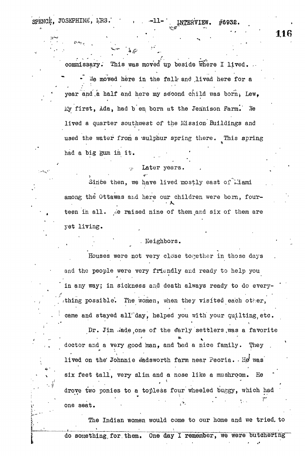spence, JOSEPHINE, MRS. •• 11-1 INTERVIEW. #6932

commissary. This was moved up beside where I lived. We moved here in the fall and lived here for a year and a half and here my second child was born, Lew. My first, Ada, had b en born at the Jennison Farm. We lived a quarter southwest of the Mission Buildings and used the water from a 'sulphur spring there. This spring had a big gum in it. •

# Later years.

Since then, we have lived mostly east of Liami among the Ottawas and here our children were born, fourteen in all. We raised nine of them and six of them are yet living.

# . Neighbors.

Houses were not very close together in those days and the people were very friendly and ready to help you in any way; in sickness and death always ready to do everyin any way; in sickness arid death always ready to do every- / rthing possible'. The women, when they visited each other,

. The came and stayed all day, helped you with you with you with you with you with you with you with  $\mu$ Dr. Jim .t'ade.one of the e'arly settlers ,was a favorite They  $\mathcal{L}^{\mathcal{A}}$  is the and a very good man, and they . They are the solution of the solution of the  $\mathcal{L}^{\mathcal{A}}$ lived on the' Johnnie r/adsworth farm near Peoria. - He was He **•-<sup>i</sup>** vasi $\psi$  six feet tall, very slim and a nose like a mushroom. Keeping a mushroom. Keeping a mushroom. Keeping a mushroom. Keeping a mushroom. Keeping a mushroom. Keeping a mushroom. Keeping a mushroom. Keeping a mushroom. drove two ponies to a topless four wheeled buggy, which had drove two ponies to a top the two points for the two points four wheeled buggy, which had buggy, which had buggy, which had buggy, which had buggy, which had buggy, which had buggy, which had buggy, which had buggy, which

The Indian women would come to our home and we tried, to do something, for them. One day I remember, we were butchering